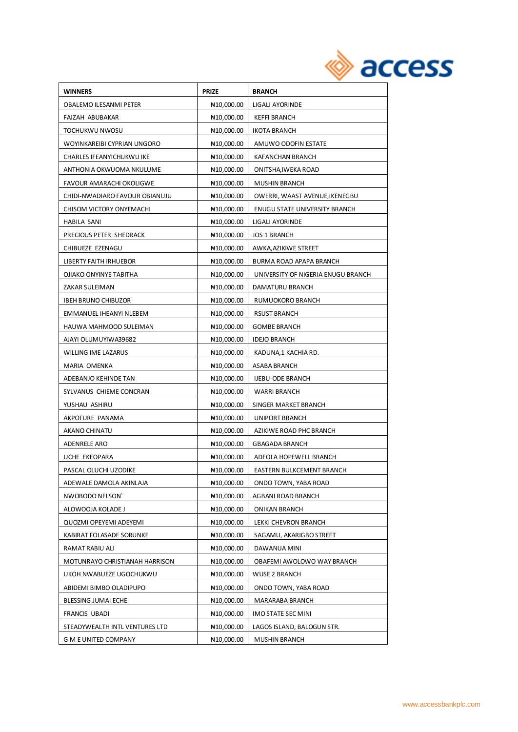| <b>WINNERS</b>                 | <b>PRIZE</b>            | <b>BRANCH</b>                      |
|--------------------------------|-------------------------|------------------------------------|
| OBALEMO ILESANMI PETER         | N <sub>10</sub> ,000.00 | LIGALI AYORINDE                    |
| FAIZAH ABUBAKAR                | N10,000.00              | <b>KEFFI BRANCH</b>                |
| TOCHUKWU NWOSU                 | ₦10,000.00              | <b>IKOTA BRANCH</b>                |
| WOYINKAREIBI CYPRIAN UNGORO    | N <sub>10</sub> ,000.00 | AMUWO ODOFIN ESTATE                |
| CHARLES IFEANYICHUKWU IKE      | N10,000.00              | KAFANCHAN BRANCH                   |
| ANTHONIA OKWUOMA NKULUME       | N <sub>10</sub> ,000.00 | ONITSHA, IWEKA ROAD                |
| FAVOUR AMARACHI OKOLIGWE       | N <sub>10</sub> ,000.00 | <b>MUSHIN BRANCH</b>               |
| CHIDI-NWADIARO FAVOUR OBIANUJU | ₦10,000.00              | OWERRI, WAAST AVENUE, IKENEGBU     |
| CHISOM VICTORY ONYEMACHI       | N10,000.00              | ENUGU STATE UNIVERSITY BRANCH      |
| HABILA SANI                    | N10,000.00              | LIGALI AYORINDE                    |
| PRECIOUS PETER SHEDRACK        | N <sub>10</sub> ,000.00 | <b>JOS 1 BRANCH</b>                |
| CHIBUEZE EZENAGU               | N <sub>10</sub> ,000.00 | AWKA, AZIKIWE STREET               |
| LIBERTY FAITH IRHUEBOR         | No,000.00               | BURMA ROAD APAPA BRANCH            |
| OJIAKO ONYINYE TABITHA         | N <sub>10</sub> ,000.00 | UNIVERSITY OF NIGERIA ENUGU BRANCH |
| ZAKAR SULEIMAN                 | N <sub>10</sub> ,000.00 | DAMATURU BRANCH                    |
| IBEH BRUNO CHIBUZOR            | N <sub>10</sub> ,000.00 | RUMUOKORO BRANCH                   |
| EMMANUEL IHEANYI NLEBEM        | N <sub>10</sub> ,000.00 | <b>RSUST BRANCH</b>                |
| HAUWA MAHMOOD SULEIMAN         | N <sub>10</sub> ,000.00 | <b>GOMBE BRANCH</b>                |
| AJAYI OLUMUYIWA39682           | N <sub>10</sub> ,000.00 | <b>IDEJO BRANCH</b>                |
| WILLING IME LAZARUS            | N10,000.00              | KADUNA,1 KACHIA RD.                |
| MARIA OMENKA                   | N#10,000.00             | ASABA BRANCH                       |
| ADEBANJO KEHINDE TAN           | N <sub>10</sub> ,000.00 | <b>IJEBU-ODE BRANCH</b>            |
| SYLVANUS CHIEME CONCRAN        | N <sub>10</sub> ,000.00 | <b>WARRI BRANCH</b>                |
| YUSHAU ASHIRU                  | N <sub>10</sub> ,000.00 | SINGER MARKET BRANCH               |
| AKPOFURE PANAMA                | ₦10,000.00              | UNIPORT BRANCH                     |
| AKANO CHINATU                  | N <sub>10</sub> ,000.00 | AZIKIWE ROAD PHC BRANCH            |
| ADENRELE ARO                   | N <sub>10</sub> ,000.00 | <b>GBAGADA BRANCH</b>              |
| UCHE EKEOPARA                  | N <sub>10</sub> ,000.00 | ADEOLA HOPEWELL BRANCH             |
| PASCAL OLUCHI UZODIKE          | ₦10,000.00              | EASTERN BULKCEMENT BRANCH          |
| ADEWALE DAMOLA AKINLAJA        | ₦10,000.00              | ONDO TOWN, YABA ROAD               |
| NWOBODO NELSON'                | N <sub>10</sub> ,000.00 | AGBANI ROAD BRANCH                 |
| ALOWOOJA KOLADE J              | ₦10,000.00              | <b>ONIKAN BRANCH</b>               |
| QUOZMI OPEYEMI ADEYEMI         | ₦10,000.00              | LEKKI CHEVRON BRANCH               |
| KABIRAT FOLASADE SORUNKE       | N <sub>10</sub> ,000.00 | SAGAMU, AKARIGBO STREET            |
| RAMAT RABIU ALI                | ₦10,000.00              | DAWANUA MINI                       |
| MOTUNRAYO CHRISTIANAH HARRISON | N <sub>10</sub> ,000.00 | OBAFEMI AWOLOWO WAY BRANCH         |
| UKOH NWABUEZE UGOCHUKWU        | N <sub>10</sub> ,000.00 | <b>WUSE 2 BRANCH</b>               |
| ABIDEMI BIMBO OLADIPUPO        | N <sub>10</sub> ,000.00 | ONDO TOWN, YABA ROAD               |
| <b>BLESSING JUMAI ECHE</b>     | N <sub>10</sub> ,000.00 | MARARABA BRANCH                    |
| FRANCIS UBADI                  | N <sub>10</sub> ,000.00 | IMO STATE SEC MINI                 |
| STEADYWEALTH INTL VENTURES LTD | N <sub>10</sub> ,000.00 | LAGOS ISLAND, BALOGUN STR.         |
| G M E UNITED COMPANY           | N <sub>10</sub> ,000.00 | <b>MUSHIN BRANCH</b>               |